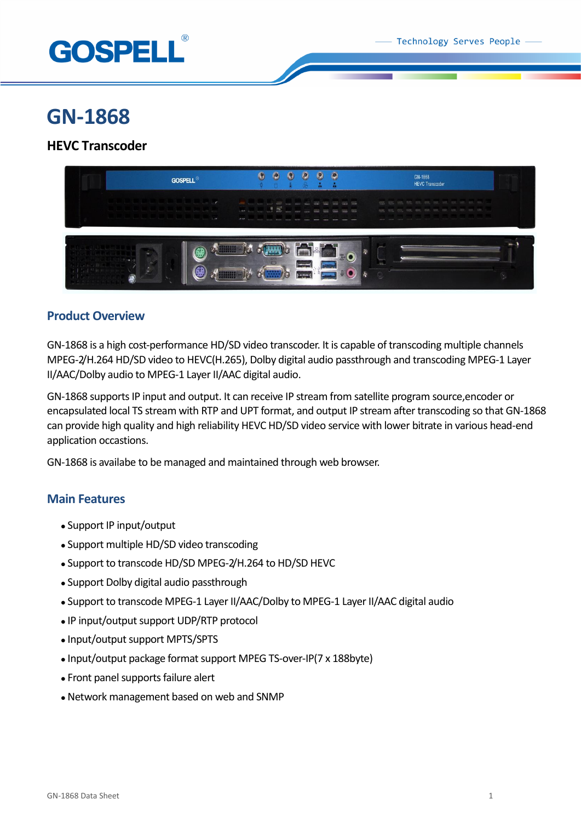

# **GN-1868**

# **HEVC Transcoder**



## **Product Overview**

GN-1868 is a high cost-performance HD/SD video transcoder. It is capable of transcoding multiple channels MPEG-2/H.264 HD/SD video to HEVC(H.265), Dolby digital audio passthrough and transcoding MPEG-1 Layer II/AAC/Dolby audio to MPEG-1 Layer II/AAC digital audio.

GN-1868 supports IP input and output. It can receive IP stream from satellite program source,encoder or encapsulated local TS stream with RTP and UPT format, and output IP stream after transcoding so that GN-1868 can provide high quality and high reliability HEVC HD/SD video service with lower bitrate in various head-end application occastions.

GN-1868 is availabe to be managed and maintained through web browser.

## **Main Features**

- Support IP input/output
- Support multiple HD/SD video transcoding
- Support to transcode HD/SD MPEG-2/H.264 to HD/SD HEVC
- Support Dolby digital audio passthrough
- Support to transcode MPEG-1 Layer II/AAC/Dolby to MPEG-1 Layer II/AAC digital audio
- IP input/output support UDP/RTP protocol
- Input/output support MPTS/SPTS
- Input/output package format support MPEG TS-over-IP(7 x 188byte)
- Front panel supports failure alert
- Network management based on web and SNMP